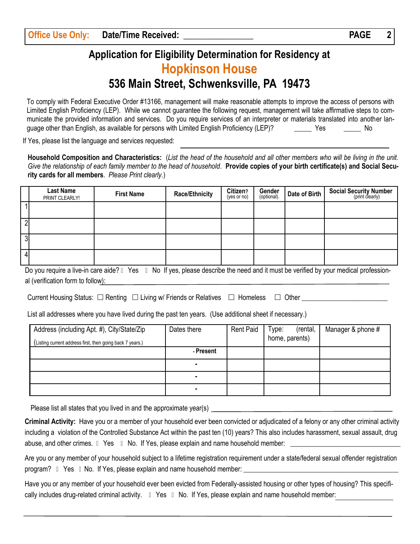## **Application for Eligibility Determination for Residency at Hopkinson House 536 Main Street, Schwenksville, PA 19473**

To comply with Federal Executive Order #13166, management will make reasonable attempts to improve the access of persons with Limited English Proficiency (LEP). While we cannot guarantee the following request, management will take affirmative steps to communicate the provided information and services. Do you require services of an interpreter or materials translated into another language other than English, as available for persons with Limited English Proficiency (LEP)? \_\_\_\_\_\_\_\_ Yes \_\_\_\_\_\_\_\_ No

If Yes, please list the language and services requested:

**Household Composition and Characteristics:** (*List the head of the household and all other members who will be living in the unit. Give the relationship of each family member to the head of household*. **Provide copies of your birth certificate(s) and Social Security cards for all members**. *Please Print clearly.*)

|                                                                                                                                                   | <b>Last Name</b><br>PRINT CLEARLY! | <b>First Name</b> | <b>Race/Ethnicity</b> | Citizen?<br>(yes or no) | Gender<br>(optional). | Date of Birth | <b>Social Security Number</b><br>(print clearly) |
|---------------------------------------------------------------------------------------------------------------------------------------------------|------------------------------------|-------------------|-----------------------|-------------------------|-----------------------|---------------|--------------------------------------------------|
|                                                                                                                                                   |                                    |                   |                       |                         |                       |               |                                                  |
| 2                                                                                                                                                 |                                    |                   |                       |                         |                       |               |                                                  |
| $\overline{3}$                                                                                                                                    |                                    |                   |                       |                         |                       |               |                                                  |
|                                                                                                                                                   |                                    |                   |                       |                         |                       |               |                                                  |
| Do you require a live in eare aide? $\bullet$ Yee $\bullet$ No. If yes please describe the need and it must be verified by your medias profession |                                    |                   |                       |                         |                       |               |                                                  |

Do you require a live-in care aide? • Yes • No If yes, please describe the need and it must be verified by your medical professional (verification form to follow):

Current Housing Status: Renting Living w/ Friends or Relatives Homeless Other \_\_\_\_\_\_\_\_\_\_\_\_\_\_\_\_\_\_\_\_\_\_\_\_\_

List all addresses where you have lived during the past ten years. (Use additional sheet if necessary.)

| Address (including Apt. #), City/State/Zip<br>(Listing current address first, then going back 7 years.) | Dates there | <b>Rent Paid</b> | (rental,<br>Type:<br>home, parents) | Manager & phone # |
|---------------------------------------------------------------------------------------------------------|-------------|------------------|-------------------------------------|-------------------|
|                                                                                                         | - Present   |                  |                                     |                   |
|                                                                                                         | ۰           |                  |                                     |                   |
|                                                                                                         | ٠           |                  |                                     |                   |
|                                                                                                         | ٠           |                  |                                     |                   |

Please list all states that you lived in and the approximate year(s)

**Criminal Activity:** Have you or a member of your household ever been convicted or adjudicated of a felony or any other criminal activity including a violation of the Controlled Substance Act within the past ten (10) years? This also includes harassment, sexual assault, drug abuse, and other crimes. • Yes • No. If Yes, please explain and name household member:

Are you or any member of your household subject to a lifetime registration requirement under a state/federal sexual offender registration program? • Yes • No. If Yes, please explain and name household member:

Have you or any member of your household ever been evicted from Federally-assisted housing or other types of housing? This specifically includes drug-related criminal activity. • Yes • No. If Yes, please explain and name household member: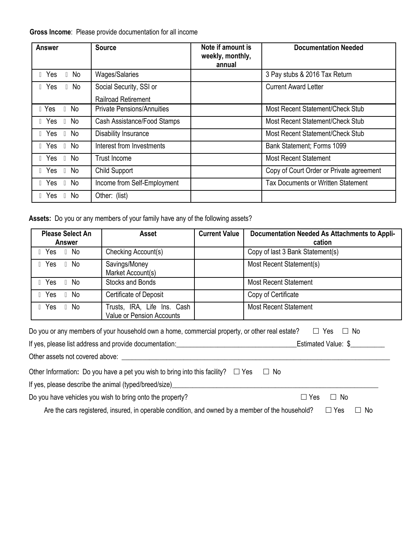## **Gross Income**:Please provide documentation for all income

| <b>Answer</b>                     | <b>Source</b>                                  | Note if amount is<br>weekly, monthly,<br>annual | <b>Documentation Needed</b>               |
|-----------------------------------|------------------------------------------------|-------------------------------------------------|-------------------------------------------|
| $\bullet$ Yes<br>$\bullet$ No     | Wages/Salaries                                 |                                                 | 3 Pay stubs & 2016 Tax Return             |
| $\bullet$ Yes<br>$\bullet$ No     | Social Security, SSI or<br>Railroad Retirement |                                                 | <b>Current Award Letter</b>               |
| $\bullet$ Yes<br>$\bullet$ No     | <b>Private Pensions/Annuities</b>              |                                                 | Most Recent Statement/Check Stub          |
| $\bullet$ Yes $\bullet$ No        | Cash Assistance/Food Stamps                    |                                                 | Most Recent Statement/Check Stub          |
| $\bullet$ Yes $\bullet$ No        | Disability Insurance                           |                                                 | Most Recent Statement/Check Stub          |
| $\bullet$ Yes $\bullet$ No        | Interest from Investments                      |                                                 | Bank Statement; Forms 1099                |
| $\bullet$ Yes $\bullet$<br>No.    | Trust Income                                   |                                                 | <b>Most Recent Statement</b>              |
| $\bullet$ Yes $\bullet$<br>No     | <b>Child Support</b>                           |                                                 | Copy of Court Order or Private agreement  |
| $\bullet$ Yes $\bullet$<br>No.    | Income from Self-Employment                    |                                                 | <b>Tax Documents or Written Statement</b> |
| $\bullet$ Yes<br>No.<br>$\bullet$ | Other: (list)                                  |                                                 |                                           |

**Assets:** Do you or any members of your family have any of the following assets?

| <b>Please Select An</b><br>Answer | <b>Current Value</b><br>Asset                                   |  | Documentation Needed As Attachments to Appli-<br>cation |  |
|-----------------------------------|-----------------------------------------------------------------|--|---------------------------------------------------------|--|
| $\bullet$ Yes $\bullet$ No        | Checking Account(s)                                             |  | Copy of last 3 Bank Statement(s)                        |  |
| $\bullet$ Yes $\bullet$ No        | Savings/Money<br>Market Account(s)                              |  | Most Recent Statement(s)                                |  |
| $\bullet$ Yes $\bullet$ No        | Stocks and Bonds                                                |  | <b>Most Recent Statement</b>                            |  |
| $\bullet$ Yes $\bullet$ No        | Certificate of Deposit                                          |  | Copy of Certificate                                     |  |
| $\bullet$ Yes<br>$\bullet$ No     | Trusts, IRA, Life Ins. Cash<br><b>Value or Pension Accounts</b> |  | <b>Most Recent Statement</b>                            |  |

| Do you or any members of your household own a home, commercial property, or other real estate?                                                                                                                                | $\Box$ Yes<br>$\Box$ No |  |
|-------------------------------------------------------------------------------------------------------------------------------------------------------------------------------------------------------------------------------|-------------------------|--|
| If yes, please list address and provide documentation: example and provide the state of the state of the state of the state of the state of the state of the state of the state of the state of the state of the state of the | Estimated Value: \$     |  |
| Other assets not covered above:                                                                                                                                                                                               |                         |  |
| Other Information: Do you have a pet you wish to bring into this facility? $\square$ Yes<br>$\Box$ No                                                                                                                         |                         |  |
| If yes, please describe the animal (typed/breed/size)                                                                                                                                                                         |                         |  |
| Do you have vehicles you wish to bring onto the property?                                                                                                                                                                     | $\Box$ Yes<br>$\Box$ No |  |
| Are the cars registered, insured, in operable condition, and owned by a member of the household?                                                                                                                              | ] No<br>$\Box$ Yes      |  |